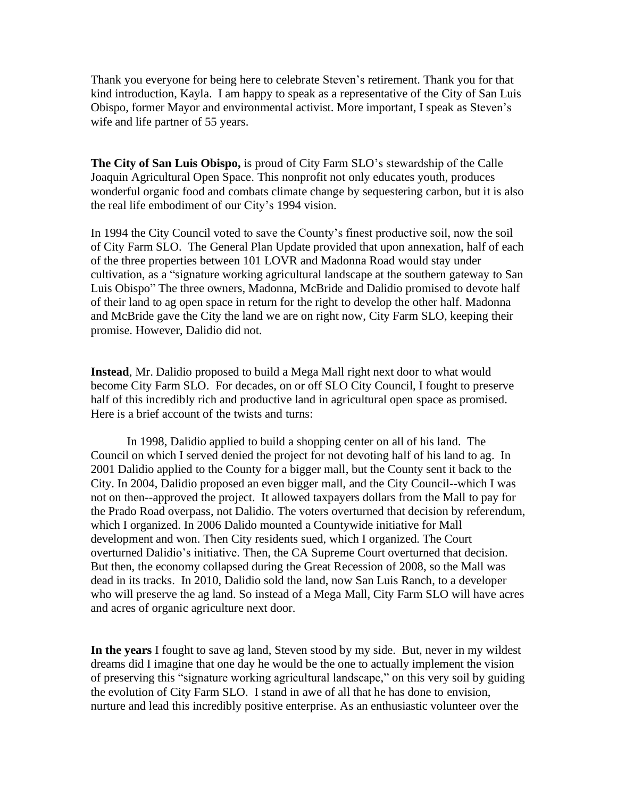Thank you everyone for being here to celebrate Steven's retirement. Thank you for that kind introduction, Kayla. I am happy to speak as a representative of the City of San Luis Obispo, former Mayor and environmental activist. More important, I speak as Steven's wife and life partner of 55 years.

**The City of San Luis Obispo,** is proud of City Farm SLO's stewardship of the Calle Joaquin Agricultural Open Space. This nonprofit not only educates youth, produces wonderful organic food and combats climate change by sequestering carbon, but it is also the real life embodiment of our City's 1994 vision.

In 1994 the City Council voted to save the County's finest productive soil, now the soil of City Farm SLO. The General Plan Update provided that upon annexation, half of each of the three properties between 101 LOVR and Madonna Road would stay under cultivation, as a "signature working agricultural landscape at the southern gateway to San Luis Obispo" The three owners, Madonna, McBride and Dalidio promised to devote half of their land to ag open space in return for the right to develop the other half. Madonna and McBride gave the City the land we are on right now, City Farm SLO, keeping their promise. However, Dalidio did not.

**Instead**, Mr. Dalidio proposed to build a Mega Mall right next door to what would become City Farm SLO. For decades, on or off SLO City Council, I fought to preserve half of this incredibly rich and productive land in agricultural open space as promised. Here is a brief account of the twists and turns:

In 1998, Dalidio applied to build a shopping center on all of his land. The Council on which I served denied the project for not devoting half of his land to ag. In 2001 Dalidio applied to the County for a bigger mall, but the County sent it back to the City. In 2004, Dalidio proposed an even bigger mall, and the City Council--which I was not on then--approved the project. It allowed taxpayers dollars from the Mall to pay for the Prado Road overpass, not Dalidio. The voters overturned that decision by referendum, which I organized. In 2006 Dalido mounted a Countywide initiative for Mall development and won. Then City residents sued, which I organized. The Court overturned Dalidio's initiative. Then, the CA Supreme Court overturned that decision. But then, the economy collapsed during the Great Recession of 2008, so the Mall was dead in its tracks. In 2010, Dalidio sold the land, now San Luis Ranch, to a developer who will preserve the ag land. So instead of a Mega Mall, City Farm SLO will have acres and acres of organic agriculture next door.

**In the years** I fought to save ag land, Steven stood by my side. But, never in my wildest dreams did I imagine that one day he would be the one to actually implement the vision of preserving this "signature working agricultural landscape," on this very soil by guiding the evolution of City Farm SLO. I stand in awe of all that he has done to envision, nurture and lead this incredibly positive enterprise. As an enthusiastic volunteer over the